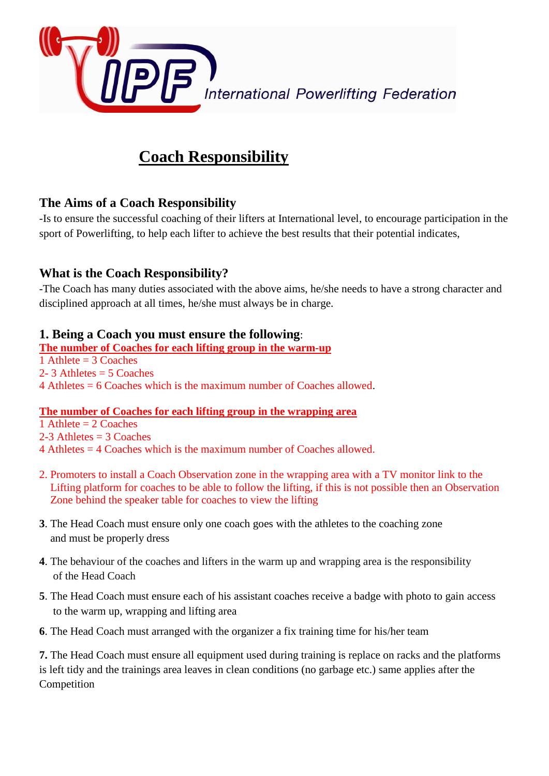

# **Coach Responsibility**

## **The Aims of a Coach Responsibility**

-Is to ensure the successful coaching of their lifters at International level, to encourage participation in the sport of Powerlifting, to help each lifter to achieve the best results that their potential indicates,

## **What is the Coach Responsibility?**

-The Coach has many duties associated with the above aims, he/she needs to have a strong character and disciplined approach at all times, he/she must always be in charge.

#### **1. Being a Coach you must ensure the following**:

**The number of Coaches for each lifting group in the warm-up**  1 Athlete  $=$  3 Coaches 2- 3 Athletes  $= 5$  Coaches 4 Athletes = 6 Coaches which is the maximum number of Coaches allowed.

#### **The number of Coaches for each lifting group in the wrapping area**

1 Athlete  $= 2$  Coaches 2-3 Athletes  $=$  3 Coaches

4 Athletes = 4 Coaches which is the maximum number of Coaches allowed.

- 2. Promoters to install a Coach Observation zone in the wrapping area with a TV monitor link to the Lifting platform for coaches to be able to follow the lifting, if this is not possible then an Observation Zone behind the speaker table for coaches to view the lifting
- **3**. The Head Coach must ensure only one coach goes with the athletes to the coaching zone and must be properly dress
- **4**. The behaviour of the coaches and lifters in the warm up and wrapping area is the responsibility of the Head Coach
- **5**. The Head Coach must ensure each of his assistant coaches receive a badge with photo to gain access to the warm up, wrapping and lifting area
- **6**. The Head Coach must arranged with the organizer a fix training time for his/her team

**7.** The Head Coach must ensure all equipment used during training is replace on racks and the platforms is left tidy and the trainings area leaves in clean conditions (no garbage etc.) same applies after the Competition